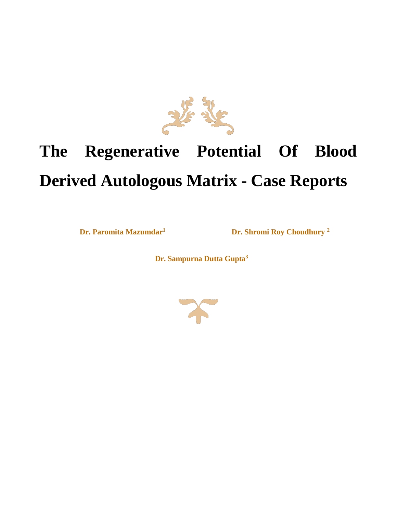

# **The Regenerative Potential Of Blood Derived Autologous Matrix - Case Reports**

**Dr. Paromita Mazumdar<sup>1</sup>Dr. Shromi Roy Choudhury <sup>2</sup>**

 **Dr. Sampurna Dutta Gupta<sup>3</sup>**

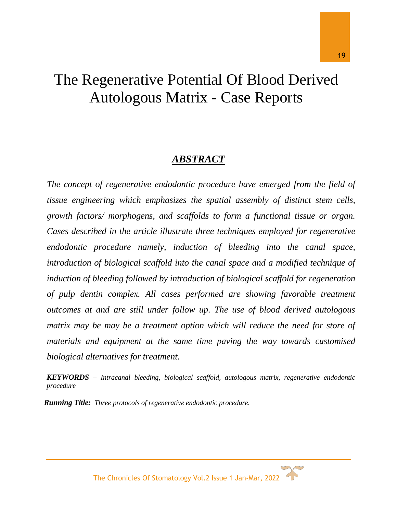# The Regenerative Potential Of Blood Derived Autologous Matrix - Case Reports

# *ABSTRACT*

The concept of regenerative endodontic procedure have emerged from the field of *tissue engineering which emphasizes the spatial assembly of distinct stem cells, growth factors/ morphogens, and scaffolds to form a functional tissue or organ. Cases described in the article illustrate three techniques employed for regenerative endodontic procedure namely, induction of bleeding into the canal space, introduction of biological scaffold into the canal space and a modified technique of induction of bleeding followed by introduction of biological scaffold for regeneration of pulp dentin complex. All cases performed are showing favorable treatment outcomes at and are still under follow up. The use of blood derived autologous matrix may be may be a treatment option which will reduce the need for store of materials and equipment at the same time paving the way towards customised biological alternatives for treatment.*

*KEYWORDS – Intracanal bleeding, biological scaffold, autologous matrix, regenerative endodontic procedure*

*Running Title: Three protocols of regenerative endodontic procedure.*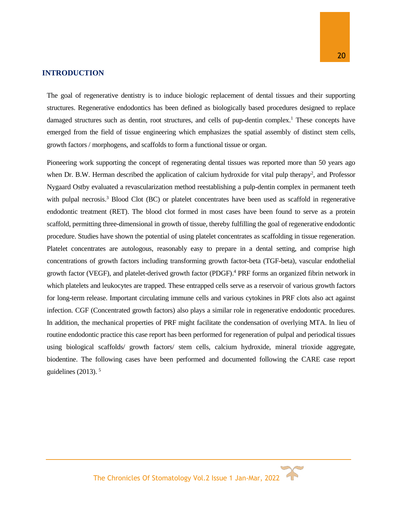#### **INTRODUCTION**

The goal of regenerative dentistry is to induce biologic replacement of dental tissues and their supporting structures. Regenerative endodontics has been defined as biologically based procedures designed to replace damaged structures such as dentin, root structures, and cells of pup-dentin complex.<sup>1</sup> These concepts have emerged from the field of tissue engineering which emphasizes the spatial assembly of distinct stem cells, growth factors / morphogens, and scaffolds to form a functional tissue or organ.

Pioneering work supporting the concept of regenerating dental tissues was reported more than 50 years ago when Dr. B.W. Herman described the application of calcium hydroxide for vital pulp therapy<sup>2</sup>, and Professor Nygaard Ostby evaluated a revascularization method reestablishing a pulp-dentin complex in permanent teeth with pulpal necrosis.<sup>3</sup> Blood Clot (BC) or platelet concentrates have been used as scaffold in regenerative endodontic treatment (RET). The blood clot formed in most cases have been found to serve as a protein scaffold, permitting three-dimensional in growth of tissue, thereby fulfilling the goal of regenerative endodontic procedure. Studies have shown the potential of using platelet concentrates as scaffolding in tissue regeneration. Platelet concentrates are autologous, reasonably easy to prepare in a dental setting, and comprise high concentrations of growth factors including transforming growth factor-beta (TGF-beta), vascular endothelial growth factor (VEGF), and platelet-derived growth factor (PDGF).<sup>4</sup> PRF forms an organized fibrin network in which platelets and leukocytes are trapped. These entrapped cells serve as a reservoir of various growth factors for long-term release. Important circulating immune cells and various cytokines in PRF clots also act against infection. CGF (Concentrated growth factors) also plays a similar role in regenerative endodontic procedures. In addition, the mechanical properties of PRF might facilitate the condensation of overlying MTA. In lieu of routine endodontic practice this case report has been performed for regeneration of pulpal and periodical tissues using biological scaffolds/ growth factors/ stem cells, calcium hydroxide, mineral trioxide aggregate, biodentine. The following cases have been performed and documented following the CARE case report guidelines  $(2013)$ .<sup>5</sup>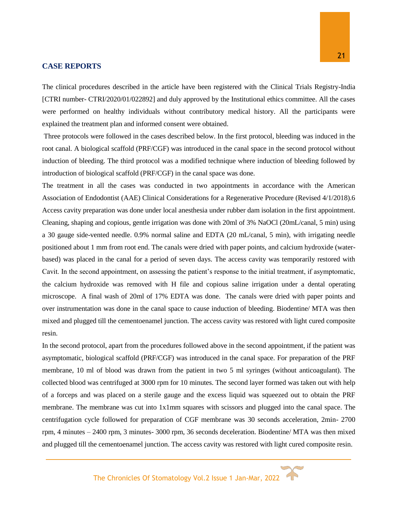### **CASE REPORTS**

The clinical procedures described in the article have been registered with the Clinical Trials Registry-India [CTRI number- CTRI/2020/01/022892] and duly approved by the Institutional ethics committee. All the cases were performed on healthy individuals without contributory medical history. All the participants were explained the treatment plan and informed consent were obtained.

Three protocols were followed in the cases described below. In the first protocol, bleeding was induced in the root canal. A biological scaffold (PRF/CGF) was introduced in the canal space in the second protocol without induction of bleeding. The third protocol was a modified technique where induction of bleeding followed by introduction of biological scaffold (PRF/CGF) in the canal space was done.

The treatment in all the cases was conducted in two appointments in accordance with the American Association of Endodontist (AAE) Clinical Considerations for a Regenerative Procedure (Revised 4/1/2018).6 Access cavity preparation was done under local anesthesia under rubber dam isolation in the first appointment. Cleaning, shaping and copious, gentle irrigation was done with 20ml of 3% NaOCl (20mL/canal, 5 min) using a 30 gauge side-vented needle. 0.9% normal saline and EDTA (20 mL/canal, 5 min), with irrigating needle positioned about 1 mm from root end. The canals were dried with paper points, and calcium hydroxide (waterbased) was placed in the canal for a period of seven days. The access cavity was temporarily restored with Cavit. In the second appointment, on assessing the patient's response to the initial treatment, if asymptomatic, the calcium hydroxide was removed with H file and copious saline irrigation under a dental operating microscope. A final wash of 20ml of 17% EDTA was done. The canals were dried with paper points and over instrumentation was done in the canal space to cause induction of bleeding. Biodentine/ MTA was then mixed and plugged till the cementoenamel junction. The access cavity was restored with light cured composite resin.

In the second protocol, apart from the procedures followed above in the second appointment, if the patient was asymptomatic, biological scaffold (PRF/CGF) was introduced in the canal space. For preparation of the PRF membrane, 10 ml of blood was drawn from the patient in two 5 ml syringes (without anticoagulant). The collected blood was centrifuged at 3000 rpm for 10 minutes. The second layer formed was taken out with help of a forceps and was placed on a sterile gauge and the excess liquid was squeezed out to obtain the PRF membrane. The membrane was cut into 1x1mm squares with scissors and plugged into the canal space. The centrifugation cycle followed for preparation of CGF membrane was 30 seconds acceleration, 2min- 2700 rpm, 4 minutes – 2400 rpm, 3 minutes- 3000 rpm, 36 seconds deceleration. Biodentine/ MTA was then mixed and plugged till the cementoenamel junction. The access cavity was restored with light cured composite resin.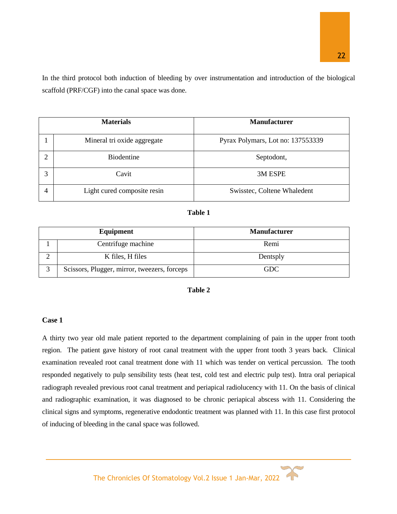In the third protocol both induction of bleeding by over instrumentation and introduction of the biological scaffold (PRF/CGF) into the canal space was done.

|   | <b>Materials</b>            | <b>Manufacturer</b>               |  |  |
|---|-----------------------------|-----------------------------------|--|--|
|   | Mineral tri oxide aggregate | Pyrax Polymars, Lot no: 137553339 |  |  |
|   | <b>Biodentine</b>           | Septodont,                        |  |  |
| 3 | Cavit                       | 3M ESPE                           |  |  |
| 4 | Light cured composite resin | Swisstec, Coltene Whaledent       |  |  |

| m<br>Ш<br>. . |  |
|---------------|--|
|---------------|--|

| Equipment                                    | <b>Manufacturer</b> |  |  |
|----------------------------------------------|---------------------|--|--|
| Centrifuge machine                           | Remi                |  |  |
| K files, H files                             | Dentsply            |  |  |
| Scissors, Plugger, mirror, tweezers, forceps | GDC                 |  |  |

| ۱Ŋ۱<br>K<br>а |  |
|---------------|--|
|---------------|--|

#### **Case 1**

A thirty two year old male patient reported to the department complaining of pain in the upper front tooth region. The patient gave history of root canal treatment with the upper front tooth 3 years back. Clinical examination revealed root canal treatment done with 11 which was tender on vertical percussion. The tooth responded negatively to pulp sensibility tests (heat test, cold test and electric pulp test). Intra oral periapical radiograph revealed previous root canal treatment and periapical radiolucency with 11. On the basis of clinical and radiographic examination, it was diagnosed to be chronic periapical abscess with 11. Considering the clinical signs and symptoms, regenerative endodontic treatment was planned with 11. In this case first protocol of inducing of bleeding in the canal space was followed.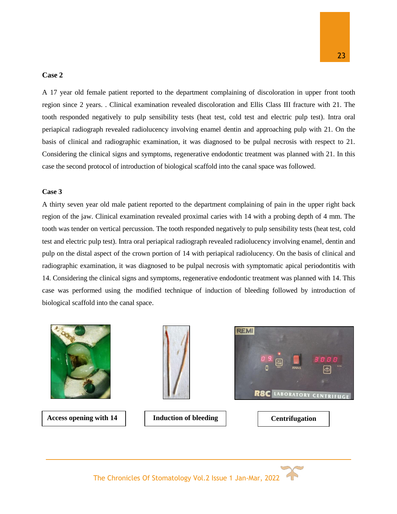#### **Case 2**

A 17 year old female patient reported to the department complaining of discoloration in upper front tooth region since 2 years. . Clinical examination revealed discoloration and Ellis Class III fracture with 21. The tooth responded negatively to pulp sensibility tests (heat test, cold test and electric pulp test). Intra oral periapical radiograph revealed radiolucency involving enamel dentin and approaching pulp with 21. On the basis of clinical and radiographic examination, it was diagnosed to be pulpal necrosis with respect to 21. Considering the clinical signs and symptoms, regenerative endodontic treatment was planned with 21. In this case the second protocol of introduction of biological scaffold into the canal space was followed.

#### **Case 3**

A thirty seven year old male patient reported to the department complaining of pain in the upper right back region of the jaw. Clinical examination revealed proximal caries with 14 with a probing depth of 4 mm. The tooth was tender on vertical percussion. The tooth responded negatively to pulp sensibility tests (heat test, cold test and electric pulp test). Intra oral periapical radiograph revealed radiolucency involving enamel, dentin and pulp on the distal aspect of the crown portion of 14 with periapical radiolucency. On the basis of clinical and radiographic examination, it was diagnosed to be pulpal necrosis with symptomatic apical periodontitis with 14. Considering the clinical signs and symptoms, regenerative endodontic treatment was planned with 14. This case was performed using the modified technique of induction of bleeding followed by introduction of biological scaffold into the canal space.



Access opening with 14 **I Induction of bleeding Centrifugation** 





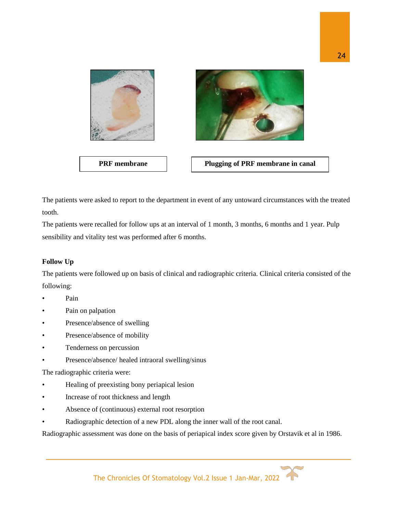

The patients were asked to report to the department in event of any untoward circumstances with the treated tooth.

The patients were recalled for follow ups at an interval of 1 month, 3 months, 6 months and 1 year. Pulp sensibility and vitality test was performed after 6 months.

# **Follow Up**

The patients were followed up on basis of clinical and radiographic criteria. Clinical criteria consisted of the following:

- Pain
- Pain on palpation
- Presence/absence of swelling
- Presence/absence of mobility
- Tenderness on percussion
- Presence/absence/ healed intraoral swelling/sinus

The radiographic criteria were:

- Healing of preexisting bony periapical lesion
- Increase of root thickness and length
- Absence of (continuous) external root resorption
- Radiographic detection of a new PDL along the inner wall of the root canal.

Radiographic assessment was done on the basis of periapical index score given by Orstavik et al in 1986.

24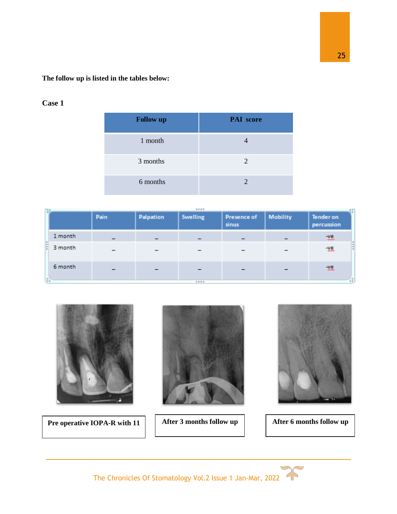# **The follow up is listed in the tables below:**

# **Case 1**

| <b>Follow up</b> | <b>PAI</b> score |
|------------------|------------------|
| 1 month          |                  |
| 3 months         | 2                |
| 6 months         |                  |

| $\frac{1}{2}$ |         |                          |           | ****            |                             |                 |                                |  |
|---------------|---------|--------------------------|-----------|-----------------|-----------------------------|-----------------|--------------------------------|--|
|               |         | Pain                     | Palpation | <b>Swelling</b> | <b>Presence of</b><br>sinus | <b>Mobility</b> | <b>Tender on</b><br>percussion |  |
|               | 1 month | $\overline{\phantom{0}}$ |           |                 |                             |                 | -ve.                           |  |
|               | 3 month |                          |           |                 |                             |                 | -88.                           |  |
| u             | 6 month |                          |           |                 |                             |                 | -ve.                           |  |
|               |         |                          |           | ****            |                             |                 |                                |  |



**Pre operative IOPA-R with 11 After 3 months follow up** 





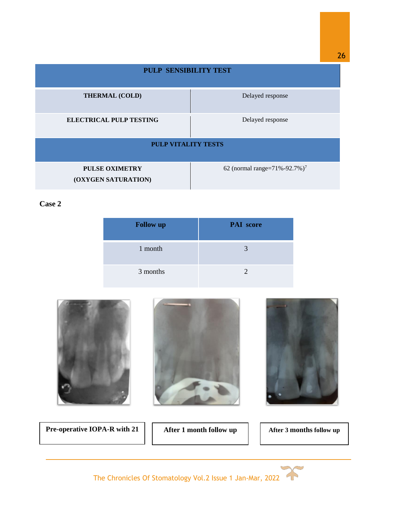| <b>PULP SENSIBILITY TEST</b>                 |                                          |  |  |  |  |  |
|----------------------------------------------|------------------------------------------|--|--|--|--|--|
| <b>THERMAL (COLD)</b>                        | Delayed response                         |  |  |  |  |  |
| <b>ELECTRICAL PULP TESTING</b>               | Delayed response                         |  |  |  |  |  |
| <b>PULP VITALITY TESTS</b>                   |                                          |  |  |  |  |  |
| <b>PULSE OXIMETRY</b><br>(OXYGEN SATURATION) | 62 (normal range=71%-92.7%) <sup>7</sup> |  |  |  |  |  |

**Case 2**

| <b>Follow up</b> | <b>PAI</b> score |
|------------------|------------------|
| 1 month          | 3                |
| 3 months         |                  |



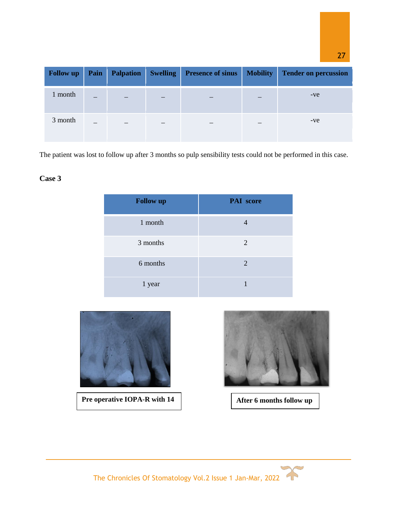| <b>Follow up</b> | Pain | <b>Palpation</b> | <b>Swelling</b> | <b>Presence of sinus</b> | <b>Mobility</b> | <b>Tender on percussion</b> |
|------------------|------|------------------|-----------------|--------------------------|-----------------|-----------------------------|
| 1 month          | –    |                  |                 |                          |                 | $-ve$                       |
| 3 month          | –    |                  |                 |                          |                 | $-ve$                       |

The patient was lost to follow up after 3 months so pulp sensibility tests could not be performed in this case.

# **Case 3**

| <b>Follow up</b> | <b>PAI</b> score |
|------------------|------------------|
| 1 month          |                  |
| 3 months         | 2                |
| 6 months         | 2                |
| 1 year           |                  |



**Pre operative IOPA-R with 14 After 6 months follow up** 



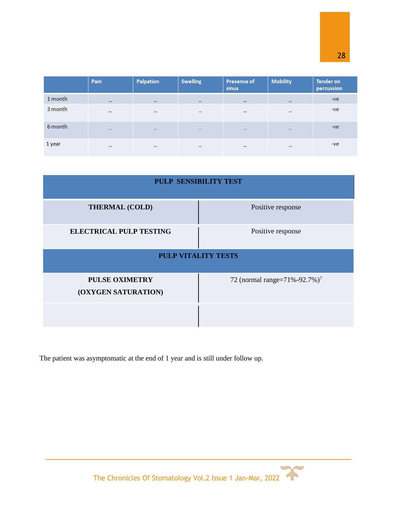|         | Pain | Palpation                | <b>Swelling</b>          | <b>Presence of</b><br>sinus | <b>Mobility</b> | <b>Tender on</b><br>percussion |
|---------|------|--------------------------|--------------------------|-----------------------------|-----------------|--------------------------------|
| 1 month | -    | $\overline{\phantom{0}}$ | $\overline{\phantom{0}}$ |                             |                 | $-ve$                          |
| 3 month | -    | -                        | -                        |                             |                 | $-ve$                          |
| 6 month | -    | -                        | -                        |                             |                 | $-ve$                          |
| 1 year  | -    | -                        | $\overline{\phantom{0}}$ |                             |                 | $-ve$                          |

| <b>PULP SENSIBILITY TEST</b>                 |                                          |
|----------------------------------------------|------------------------------------------|
| <b>THERMAL (COLD)</b>                        | Positive response                        |
| <b>ELECTRICAL PULP TESTING</b>               | Positive response                        |
| <b>PULP VITALITY TESTS</b>                   |                                          |
| <b>PULSE OXIMETRY</b><br>(OXYGEN SATURATION) | 72 (normal range=71%-92.7%) <sup>7</sup> |
|                                              |                                          |

The patient was asymptomatic at the end of 1 year and is still under follow up.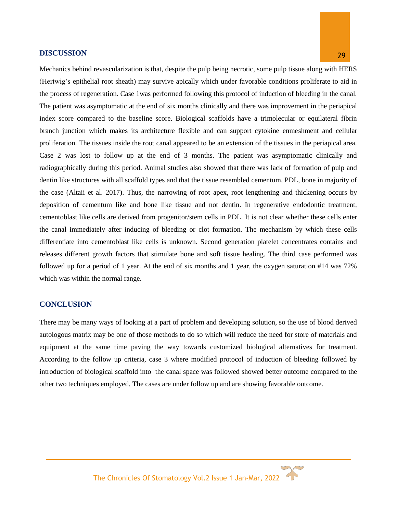#### **DISCUSSION**

Mechanics behind revascularization is that, despite the pulp being necrotic, some pulp tissue along with HERS (Hertwig's epithelial root sheath) may survive apically which under favorable conditions proliferate to aid in the process of regeneration. Case 1was performed following this protocol of induction of bleeding in the canal. The patient was asymptomatic at the end of six months clinically and there was improvement in the periapical index score compared to the baseline score. Biological scaffolds have a trimolecular or equilateral fibrin branch junction which makes its architecture flexible and can support cytokine enmeshment and cellular proliferation. The tissues inside the root canal appeared to be an extension of the tissues in the periapical area. Case 2 was lost to follow up at the end of 3 months. The patient was asymptomatic clinically and radiographically during this period. Animal studies also showed that there was lack of formation of pulp and dentin like structures with all scaffold types and that the tissue resembled cementum, PDL, bone in majority of the case (Altaii et al. 2017). Thus, the narrowing of root apex, root lengthening and thickening occurs by deposition of cementum like and bone like tissue and not dentin. In regenerative endodontic treatment, cementoblast like cells are derived from progenitor/stem cells in PDL. It is not clear whether these cells enter the canal immediately after inducing of bleeding or clot formation. The mechanism by which these cells differentiate into cementoblast like cells is unknown. Second generation platelet concentrates contains and releases different growth factors that stimulate bone and soft tissue healing. The third case performed was followed up for a period of 1 year. At the end of six months and 1 year, the oxygen saturation #14 was 72% which was within the normal range.

#### **CONCLUSION**

There may be many ways of looking at a part of problem and developing solution, so the use of blood derived autologous matrix may be one of those methods to do so which will reduce the need for store of materials and equipment at the same time paving the way towards customized biological alternatives for treatment. According to the follow up criteria, case 3 where modified protocol of induction of bleeding followed by introduction of biological scaffold into the canal space was followed showed better outcome compared to the other two techniques employed. The cases are under follow up and are showing favorable outcome.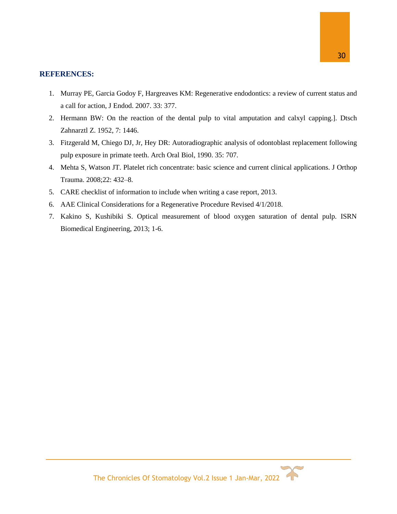#### **REFERENCES:**

- 1. Murray PE, Garcia Godoy F, Hargreaves KM: Regenerative endodontics: a review of current status and a call for action, J Endod. 2007. 33: 377.
- 2. Hermann BW: On the reaction of the dental pulp to vital amputation and calxyl capping.]. Dtsch Zahnarztl Z. 1952, 7: 1446.
- 3. Fitzgerald M, Chiego DJ, Jr, Hey DR: Autoradiographic analysis of odontoblast replacement following pulp exposure in primate teeth. Arch Oral Biol, 1990. 35: 707.
- 4. Mehta S, Watson JT. Platelet rich concentrate: basic science and current clinical applications. J Orthop Trauma. 2008;22: 432–8.
- 5. CARE checklist of information to include when writing a case report, 2013.
- 6. AAE Clinical Considerations for a Regenerative Procedure Revised 4/1/2018.
- 7. Kakino S, Kushibiki S. Optical measurement of blood oxygen saturation of dental pulp. ISRN Biomedical Engineering, 2013; 1-6.